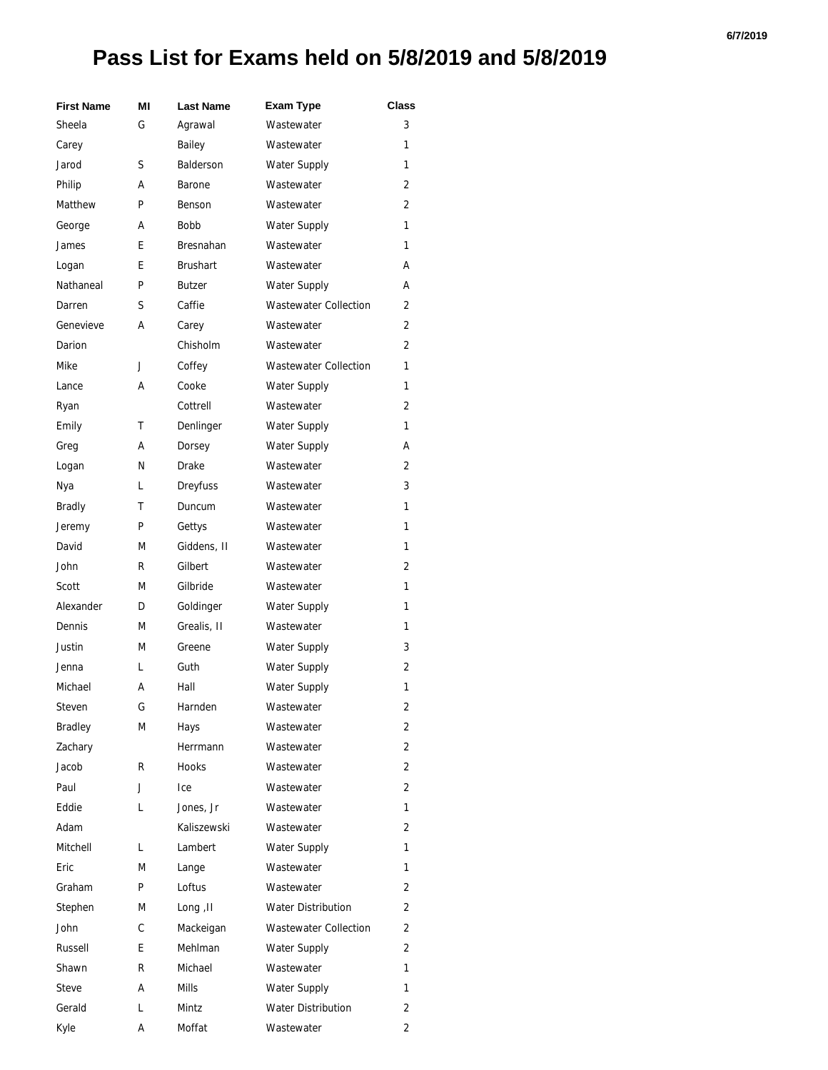## **Pass List for Exams held on 5/8/2019 and 5/8/2019**

| <b>First Name</b> | МI | <b>Last Name</b> | <b>Exam Type</b>             | Class          |
|-------------------|----|------------------|------------------------------|----------------|
| Sheela            | G  | Agrawal          | Wastewater                   | 3              |
| Carey             |    | Bailey           | Wastewater                   | 1              |
| Jarod             | S  | <b>Balderson</b> | Water Supply                 | 1              |
| Philip            | А  | Barone           | Wastewater                   | 2              |
| Matthew           | P  | Benson           | Wastewater                   | 2              |
| George            | А  | <b>Bobb</b>      | <b>Water Supply</b>          | 1              |
| James             | E  | Bresnahan        | Wastewater                   | 1              |
| Logan             | E  | <b>Brushart</b>  | Wastewater                   | А              |
| Nathaneal         | P  | <b>Butzer</b>    | <b>Water Supply</b>          | А              |
| Darren            | S  | Caffie           | <b>Wastewater Collection</b> | 2              |
| Genevieve         | А  | Carey            | Wastewater                   | 2              |
| Darion            |    | Chisholm         | Wastewater                   | 2              |
| Mike              | J  | Coffey           | <b>Wastewater Collection</b> | 1              |
| Lance             | А  | Cooke            | Water Supply                 | 1              |
| Ryan              |    | Cottrell         | Wastewater                   | 2              |
| Emily             | т  | Denlinger        | <b>Water Supply</b>          | 1              |
| Greg              | А  | Dorsey           | <b>Water Supply</b>          | А              |
| Logan             | N  | Drake            | Wastewater                   | 2              |
| Nya               | L  | <b>Dreyfuss</b>  | Wastewater                   | 3              |
| <b>Bradly</b>     | т  | Duncum           | Wastewater                   | 1              |
| Jeremy            | P  | Gettys           | Wastewater                   | 1              |
| David             | М  | Giddens, II      | Wastewater                   | 1              |
| John              | R  | Gilbert          | Wastewater                   | 2              |
| Scott             | M  | Gilbride         | Wastewater                   | 1              |
| Alexander         | D  | Goldinger        | <b>Water Supply</b>          | 1              |
| Dennis            | М  | Grealis, II      | Wastewater                   | 1              |
| Justin            | М  | Greene           | Water Supply                 | 3              |
| Jenna             | L  | Guth             | Water Supply                 | 2              |
| Michael           | А  | Hall             | <b>Water Supply</b>          | 1              |
| Steven            | G  | Harnden          | Wastewater                   | 2              |
| <b>Bradley</b>    | M  | Hays             | Wastewater                   | 2              |
| Zachary           |    | Herrmann         | Wastewater                   | 2              |
| Jacob             | R  | <b>Hooks</b>     | Wastewater                   | 2              |
| Paul              | J  | Ice              | Wastewater                   | 2              |
| Eddie             | L  | Jones, Jr        | Wastewater                   | 1              |
| Adam              |    | Kaliszewski      | Wastewater                   | 2              |
| Mitchell          | L  | Lambert          | <b>Water Supply</b>          | 1              |
| Eric              | M  | Lange            | Wastewater                   | 1              |
| Graham            | P  | Loftus           | Wastewater                   | 2              |
| Stephen           | M  | Long, II         | <b>Water Distribution</b>    | 2              |
| John              | С  | Mackeigan        | <b>Wastewater Collection</b> | 2              |
| Russell           | E  | Mehlman          | <b>Water Supply</b>          | 2              |
| Shawn             | R  | Michael          | Wastewater                   | 1              |
| Steve             | А  | <b>Mills</b>     | <b>Water Supply</b>          | 1              |
| Gerald            | L  | Mintz            | <b>Water Distribution</b>    | 2              |
| Kyle              | А  | Moffat           | Wastewater                   | $\overline{2}$ |